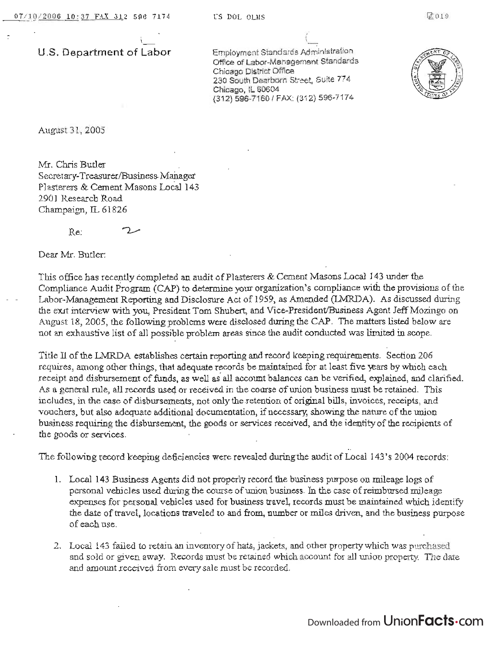**U.S. Department of Labor** 

Employment Standards Administration Office of Labor-Management Standards Chicago District Office 230 South Dearborn Street, Suite 774 Chicago, IL 60604 (312) 596-7160/ FAX: (312) 5g6~7174



August 31,2005

*MI.* Chris Butler Secretary-Treasurer/Business Manager Plasterers & Cement Masons Local 143 2901 Research Road Champaign, IL 61826

 $R_{\rm e}$   $2.$ 

Dear Mr. Butler:

This office has recently completed an. audit of Plasterers & Cement Masons Local 143 under the Compliance Audit Program (CAP) to determine your organization's compljance with the provisions of the Labor··Management Reporting and Disclosure Act of 1959, as Amended (lMRDA). As discussed during the exit interview with you, President Tom Shubert, and Vice-President/Business Agent Jeff Mozingo on August 18, 2005, the following problems were disclosed during the CAP. The matters listed below are not an exhaustive list of all possible problem areas since the audit conducted was limited in scope.

Title II of the LMRDA establishes certain reporting and record keeping requirements. Section 206 requires, among other things, that adequate records be maintained for at least five years by which each receipt and disbursement of funds, as well as all account balances can be verified, explained, and clarified. As a general rule, all records used or received in the course of union business must be retained. This includes, in the case of disbursements, not only the retention of original bills, invoices, receipts, and vouchers, but also adequate additional 'documentation, if necessary; showing the nature of the union business requiring the disbursement, the goods or services received, and the identity of the recipients of the goods or services.

The following record keeping deficiencies were revealed during the audit of Local 143's 2004 records:

- 1. Local 143 Business Agents did not properly record the business purpose on mileage logs of personal vehicles used during the course of union business\_ In the case of reimbursed mileage expenses for personal vehicles used for business travel, records must be maintained which identify the date of travel, locations traveled to and from, number or miles driven, and the business purpose of each use.
- 2. Loca1143 failed to retain an inventory of hats, jackets, and other property which was purchased and sold or given away. Records must be retained which account for all union property. The date and amount received from every sale must be recorded.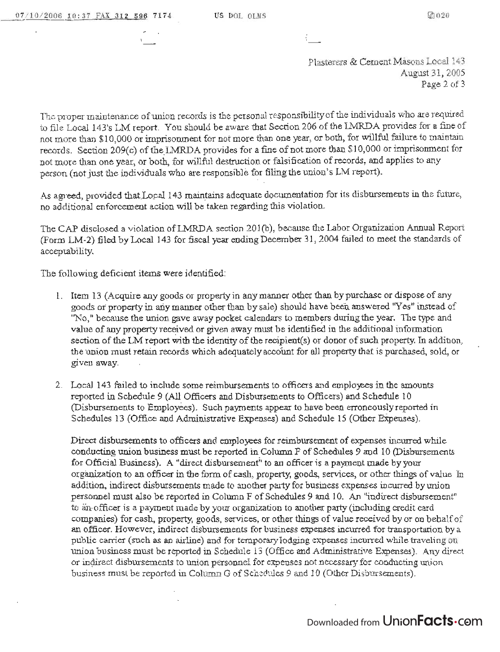Plasterers & Cement Masons Local 143 August 31,2005 Page 2 of 3

The proper maintenance of union records is the personal responsibility of the individuals who are required to file Local 143's LM report. You should be aware that Section 206 of the LMRDA provides for a fine of not more than \$10,000 or imprisonment for not more than one year, or both, for willful failure to maintain records. Section 209(c) of the LMRDA provides for a fine of not more than \$10,000 or imprisonment for not more thau one year, or both, for willful destruction or falsification of records, and applies to any persori (not just the individuals who are responsible for filing the union's LM report).

As agreed, provided that Local 143 maintains adequate documentation for its disbursements in the future, no additional enforcement action will be taken regarding this violation.

The CAP disclosed a violation of LMRDA section 201(b), because the Labor Organization Annual Report (Form LM-2) filed by Local 143 for fiscal year ending December 31, 2004 failed to meet the standards of acceptability.

The following deficient items were identified:

- 1. Item 13 (Acquire any goods or property in any manner other than by purchase or dispose of any goods or property in any manner other than by sale) should have been answered "Yes" instead of "No," because the union gave away pocket calendars to members during the year. The type and value of any property received or given away must be identified in the additional information section of the LM report with the identity of the recipient(s) or donor of such property. In addition, the union must retain records which adequately account for all property that is purchased, sold, or given away.
- 2. Local 143 failed to include some reimbursements to officers and employees in the amounts reported in Schedule 9 (All Officers and Disbursements to Officers) and Schedule 10 (Disbursements to Employees). Such payments appear to have been erroneously reported in Schedules 13 (Office and Administrative Expenses) and Schedule 15 (Other Expenses).

Direct disbursements to officers and employees for reimbursement of expenses incurred while conducting union business must be reported in Column F of Schedules 9 and 10 (Disbursements for Official Business). A "direct disbursement" to an officer is a payment made by your organization to au officer in the form of cash, property, goods., services, or other things of value. In addition, indirect disbursements made to another party for business expenses incurred by union personnel must also be reported in Column F of Schedules 9 and 10. An "indirect disbursement" to an officer is a payment made by your organization to another party (including credit card companies) for cash, property, goods, services, or other things of value received by or on behalf of an officer. However, indirect disbursements for business expenses incurred for transportation by a public carrier (such as an airline) and for tcmporarylodging expenses incurred while traveling on union business must be reported in Schedule 13 (Office and Administrative Expenses). Any direct or indirect disbursements to union personnel for expenses not necessary for conducting uni on buslness must be reported in Column G of Schedules 9 and 10 (Other Disbursements).